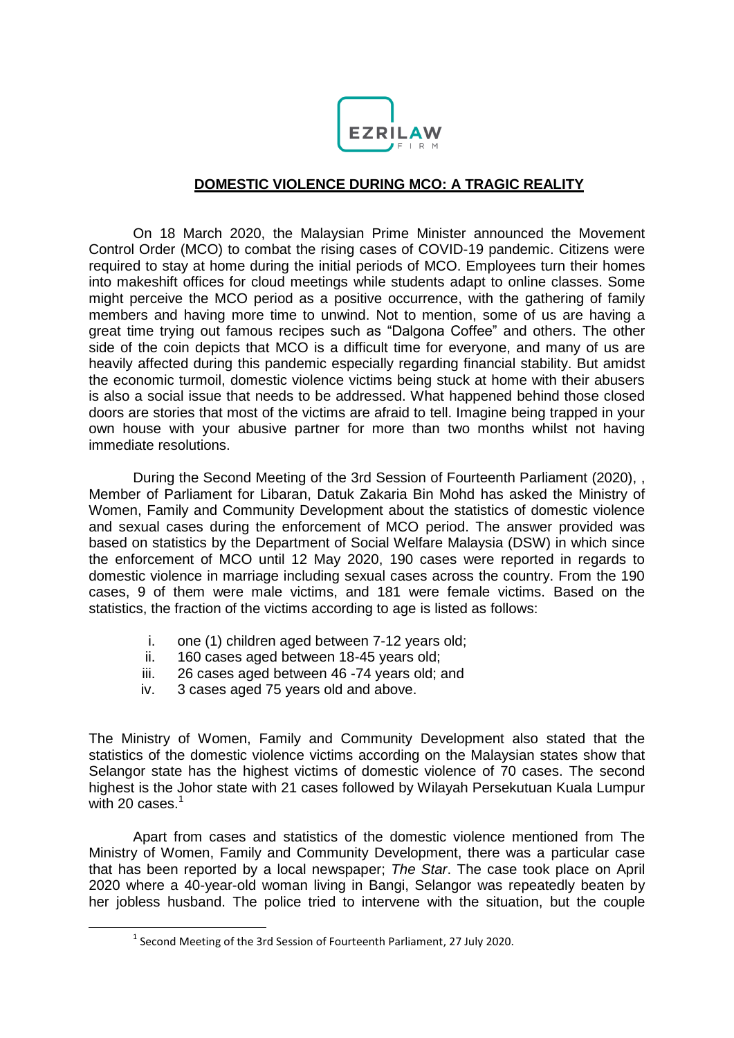

## **DOMESTIC VIOLENCE DURING MCO: A TRAGIC REALITY**

On 18 March 2020, the Malaysian Prime Minister announced the Movement Control Order (MCO) to combat the rising cases of COVID-19 pandemic. Citizens were required to stay at home during the initial periods of MCO. Employees turn their homes into makeshift offices for cloud meetings while students adapt to online classes. Some might perceive the MCO period as a positive occurrence, with the gathering of family members and having more time to unwind. Not to mention, some of us are having a great time trying out famous recipes such as "Dalgona Coffee" and others. The other side of the coin depicts that MCO is a difficult time for everyone, and many of us are heavily affected during this pandemic especially regarding financial stability. But amidst the economic turmoil, domestic violence victims being stuck at home with their abusers is also a social issue that needs to be addressed. What happened behind those closed doors are stories that most of the victims are afraid to tell. Imagine being trapped in your own house with your abusive partner for more than two months whilst not having immediate resolutions.

During the Second Meeting of the 3rd Session of Fourteenth Parliament (2020), , Member of Parliament for Libaran, Datuk Zakaria Bin Mohd has asked the Ministry of Women, Family and Community Development about the statistics of domestic violence and sexual cases during the enforcement of MCO period. The answer provided was based on statistics by the Department of Social Welfare Malaysia (DSW) in which since the enforcement of MCO until 12 May 2020, 190 cases were reported in regards to domestic violence in marriage including sexual cases across the country. From the 190 cases, 9 of them were male victims, and 181 were female victims. Based on the statistics, the fraction of the victims according to age is listed as follows:

- i. one (1) children aged between 7-12 years old;
- ii. 160 cases aged between 18-45 years old;
- iii. 26 cases aged between 46 -74 years old; and
- iv. 3 cases aged 75 years old and above.

The Ministry of Women, Family and Community Development also stated that the statistics of the domestic violence victims according on the Malaysian states show that Selangor state has the highest victims of domestic violence of 70 cases. The second highest is the Johor state with 21 cases followed by Wilayah Persekutuan Kuala Lumpur with 20 cases. $1$ 

Apart from cases and statistics of the domestic violence mentioned from The Ministry of Women, Family and Community Development, there was a particular case that has been reported by a local newspaper; *The Star*. The case took place on April 2020 where a 40-year-old woman living in Bangi, Selangor was repeatedly beaten by her jobless husband. The police tried to intervene with the situation, but the couple

**.** 

 $<sup>1</sup>$  Second Meeting of the 3rd Session of Fourteenth Parliament, 27 July 2020.</sup>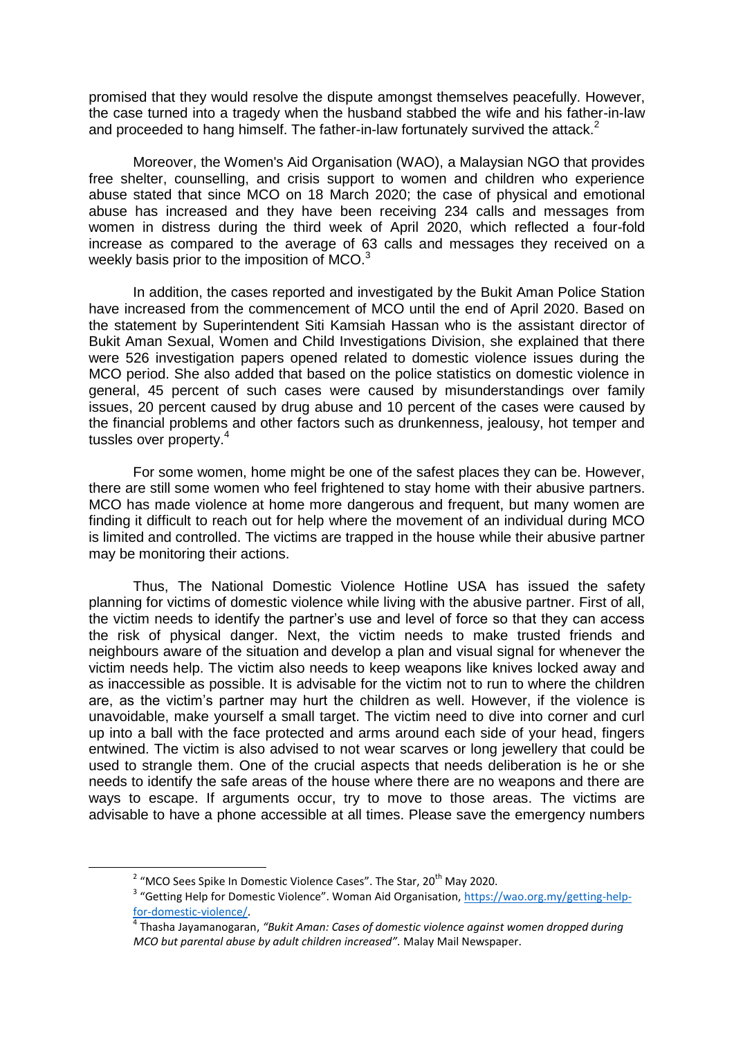promised that they would resolve the dispute amongst themselves peacefully. However, the case turned into a tragedy when the husband stabbed the wife and his father-in-law and proceeded to hang himself. The father-in-law fortunately survived the attack.<sup>2</sup>

Moreover, the Women's Aid Organisation (WAO), a Malaysian NGO that provides free shelter, counselling, and crisis support to women and children who experience abuse stated that since MCO on 18 March 2020; the case of physical and emotional abuse has increased and they have been receiving 234 calls and messages from women in distress during the third week of April 2020, which reflected a four-fold increase as compared to the average of 63 calls and messages they received on a weekly basis prior to the imposition of MCO.<sup>3</sup>

In addition, the cases reported and investigated by the Bukit Aman Police Station have increased from the commencement of MCO until the end of April 2020. Based on the statement by Superintendent Siti Kamsiah Hassan who is the assistant director of Bukit Aman Sexual, Women and Child Investigations Division, she explained that there were 526 investigation papers opened related to domestic violence issues during the MCO period. She also added that based on the police statistics on domestic violence in general, 45 percent of such cases were caused by misunderstandings over family issues, 20 percent caused by drug abuse and 10 percent of the cases were caused by the financial problems and other factors such as drunkenness, jealousy, hot temper and tussles over property.<sup>4</sup>

For some women, home might be one of the safest places they can be. However, there are still some women who feel frightened to stay home with their abusive partners. MCO has made violence at home more dangerous and frequent, but many women are finding it difficult to reach out for help where the movement of an individual during MCO is limited and controlled. The victims are trapped in the house while their abusive partner may be monitoring their actions.

Thus, The National Domestic Violence Hotline USA has issued the safety planning for victims of domestic violence while living with the abusive partner. First of all, the victim needs to identify the partner's use and level of force so that they can access the risk of physical danger. Next, the victim needs to make trusted friends and neighbours aware of the situation and develop a plan and visual signal for whenever the victim needs help. The victim also needs to keep weapons like knives locked away and as inaccessible as possible. It is advisable for the victim not to run to where the children are, as the victim's partner may hurt the children as well. However, if the violence is unavoidable, make yourself a small target. The victim need to dive into corner and curl up into a ball with the face protected and arms around each side of your head, fingers entwined. The victim is also advised to not wear scarves or long jewellery that could be used to strangle them. One of the crucial aspects that needs deliberation is he or she needs to identify the safe areas of the house where there are no weapons and there are ways to escape. If arguments occur, try to move to those areas. The victims are advisable to have a phone accessible at all times. Please save the emergency numbers

 $\overline{a}$ 

 $2$  "MCO Sees Spike In Domestic Violence Cases". The Star, 20<sup>th</sup> May 2020.

<sup>&</sup>lt;sup>3</sup> "Getting Help for Domestic Violence". Woman Aid Organisation, [https://wao.org.my/getting-help](https://wao.org.my/getting-help-%20for-domestic-violence/)[for-domestic-violence/.](https://wao.org.my/getting-help-%20for-domestic-violence/)

<sup>4</sup> Thasha Jayamanogaran, *"Bukit Aman: Cases of domestic violence against women dropped during MCO but parental abuse by adult children increased".* Malay Mail Newspaper.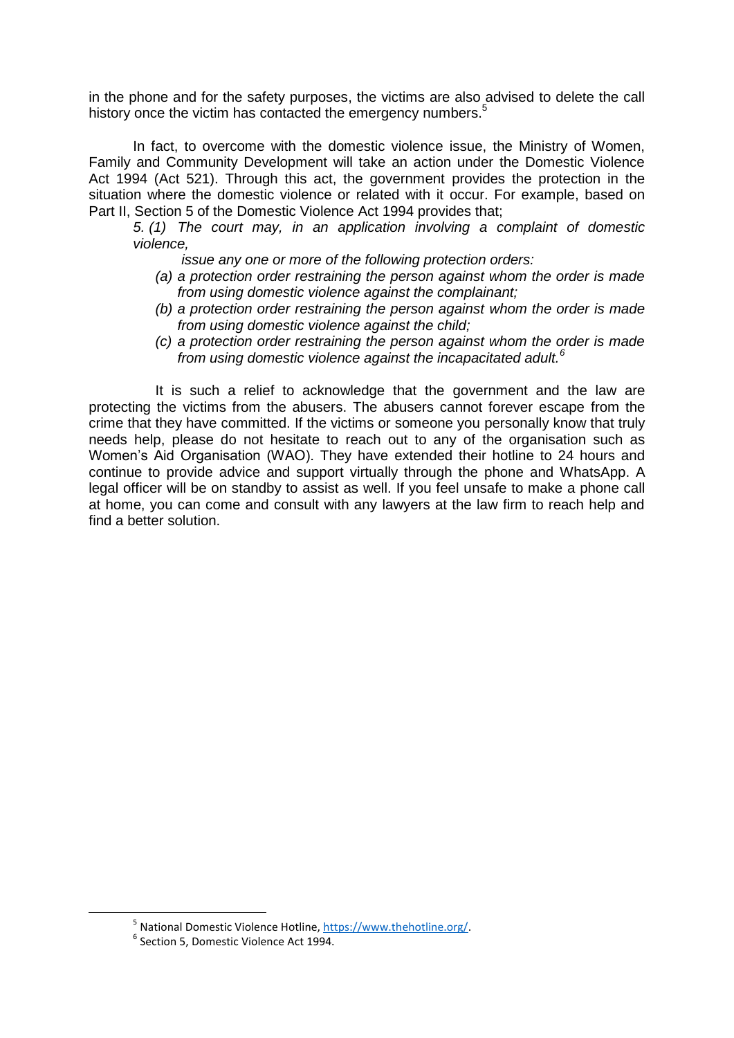in the phone and for the safety purposes, the victims are also advised to delete the call history once the victim has contacted the emergency numbers.<sup>5</sup>

In fact, to overcome with the domestic violence issue, the Ministry of Women, Family and Community Development will take an action under the Domestic Violence Act 1994 (Act 521). Through this act, the government provides the protection in the situation where the domestic violence or related with it occur. For example, based on Part II, Section 5 of the Domestic Violence Act 1994 provides that;

*5. (1) The court may, in an application involving a complaint of domestic violence,* 

 *issue any one or more of the following protection orders:*

- *(a) a protection order restraining the person against whom the order is made from using domestic violence against the complainant;*
- *(b) a protection order restraining the person against whom the order is made from using domestic violence against the child;*
- *(c) a protection order restraining the person against whom the order is made from using domestic violence against the incapacitated adult.<sup>6</sup>*

It is such a relief to acknowledge that the government and the law are protecting the victims from the abusers. The abusers cannot forever escape from the crime that they have committed. If the victims or someone you personally know that truly needs help, please do not hesitate to reach out to any of the organisation such as Women's Aid Organisation (WAO). They have extended their hotline to 24 hours and continue to provide advice and support virtually through the phone and WhatsApp. A legal officer will be on standby to assist as well. If you feel unsafe to make a phone call at home, you can come and consult with any lawyers at the law firm to reach help and find a better solution.

**.** 

<sup>&</sup>lt;sup>5</sup> National Domestic Violence Hotline, [https://www.thehotline.org/.](https://www.thehotline.org/)

<sup>6</sup> Section 5, Domestic Violence Act 1994.